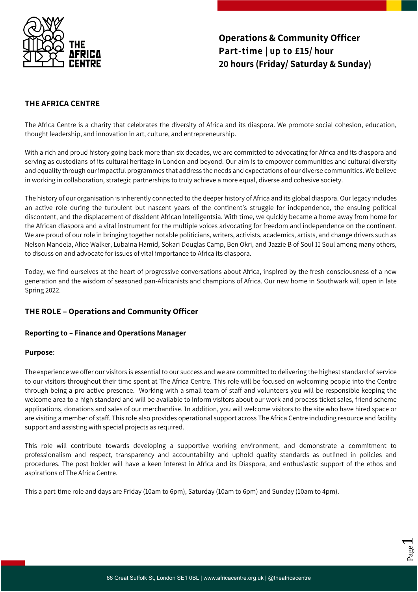

# **Operations & Community Officer Part-time | up to £15/ hour 20 hours (Friday/ Saturday & Sunday)**

## **THE AFRICA CENTRE**

The Africa Centre is a charity that celebrates the diversity of Africa and its diaspora. We promote social cohesion, education, thought leadership, and innovation in art, culture, and entrepreneurship.

With a rich and proud history going back more than six decades, we are committed to advocating for Africa and its diaspora and serving as custodians of its cultural heritage in London and beyond. Our aim is to empower communities and cultural diversity and equality through our impactful programmes that address the needs and expectations of our diverse communities. We believe in working in collaboration, strategic partnerships to truly achieve a more equal, diverse and cohesive society.

The history of our organisation is inherently connected to the deeper history of Africa and its global diaspora. Our legacy includes an active role during the turbulent but nascent years of the continent's struggle for independence, the ensuing political discontent, and the displacement of dissident African intelligentsia. With time, we quickly became a home away from home for the African diaspora and a vital instrument for the multiple voices advocating for freedom and independence on the continent. We are proud of our role in bringing together notable politicians, writers, activists, academics, artists, and change drivers such as Nelson Mandela, Alice Walker, Lubaina Hamid, Sokari Douglas Camp, Ben Okri, and Jazzie B of Soul II Soul among many others, to discuss on and advocate for issues of vital importance to Africa its diaspora.

Today, we find ourselves at the heart of progressive conversations about Africa, inspired by the fresh consciousness of a new generation and the wisdom of seasoned pan-Africanists and champions of Africa. Our new home in Southwark will open in late Spring 2022.

# **THE ROLE – Operations and Community Officer**

## **Reporting to – Finance and Operations Manager**

#### **Purpose**:

The experience we offer our visitors is essential to our success and we are committed to delivering the highest standard of service to our visitors throughout their time spent at The Africa Centre. This role will be focused on welcoming people into the Centre through being a pro-active presence. Working with a small team of staff and volunteers you will be responsible keeping the welcome area to a high standard and will be available to inform visitors about our work and process ticket sales, friend scheme applications, donations and sales of our merchandise. In addition, you will welcome visitors to the site who have hired space or are visiting a member of staff. This role also provides operational support across The Africa Centre including resource and facility support and assisting with special projects as required.

This role will contribute towards developing a supportive working environment, and demonstrate a commitment to professionalism and respect, transparency and accountability and uphold quality standards as outlined in policies and procedures. The post holder will have a keen interest in Africa and its Diaspora, and enthusiastic support of the ethos and aspirations of The Africa Centre.

This a part-time role and days are Friday (10am to 6pm), Saturday (10am to 6pm) and Sunday (10am to 4pm).